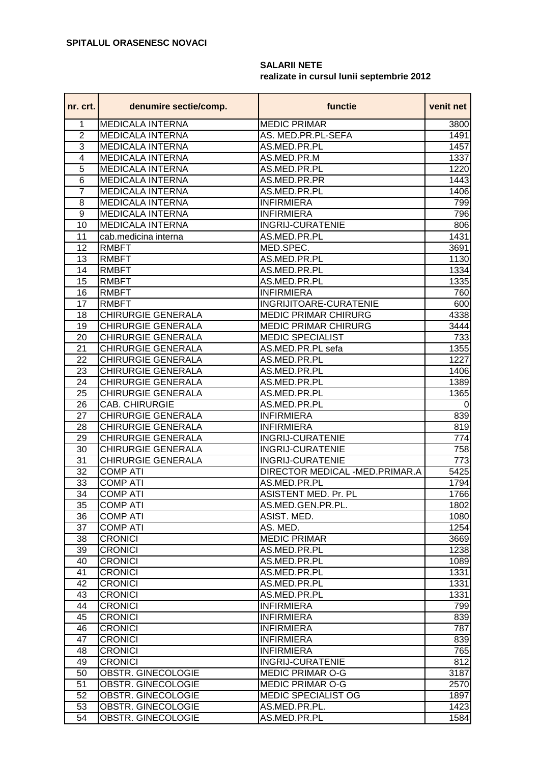## **SALARII NETE realizate in cursul lunii septembrie 2012**

| 1<br><b>MEDICALA INTERNA</b><br><b>MEDIC PRIMAR</b><br>3800<br>$\overline{2}$<br><b>MEDICALA INTERNA</b><br>AS. MED.PR.PL-SEFA<br>1491<br>3<br><b>MEDICALA INTERNA</b><br>AS.MED.PR.PL<br>1457<br>$\overline{4}$<br><b>MEDICALA INTERNA</b><br>AS.MED.PR.M<br>1337<br>$\overline{5}$<br>AS.MED.PR.PL<br><b>MEDICALA INTERNA</b><br>1220<br>$\overline{6}$<br><b>MEDICALA INTERNA</b><br>AS.MED.PR.PR<br>1443<br>$\overline{7}$<br><b>MEDICALA INTERNA</b><br>AS.MED.PR.PL<br>1406<br>8<br><b>MEDICALA INTERNA</b><br><b>INFIRMIERA</b><br>799<br>9<br><b>MEDICALA INTERNA</b><br><b>INFIRMIERA</b><br>796<br><b>MEDICALA INTERNA</b><br><b>INGRIJ-CURATENIE</b><br>806<br>10<br>AS.MED.PR.PL<br>1431<br>11<br>cab.medicina interna<br>12<br><b>RMBFT</b><br>MED.SPEC.<br>3691<br>13<br><b>RMBFT</b><br>AS.MED.PR.PL<br>1130<br><b>RMBFT</b><br>14<br>AS.MED.PR.PL<br>1334<br>15<br><b>RMBFT</b><br>AS.MED.PR.PL<br>1335<br><b>INFIRMIERA</b><br>16<br><b>RMBFT</b><br>760<br>17<br>INGRIJITOARE-CURATENIE<br><b>RMBFT</b><br>600<br><b>CHIRURGIE GENERALA</b><br><b>MEDIC PRIMAR CHIRURG</b><br>18<br>4338<br>19<br><b>CHIRURGIE GENERALA</b><br><b>MEDIC PRIMAR CHIRURG</b><br>3444<br>20<br><b>CHIRURGIE GENERALA</b><br><b>MEDIC SPECIALIST</b><br>733<br>21<br>CHIRURGIE GENERALA<br>1355<br>AS.MED.PR.PL sefa<br>22<br>CHIRURGIE GENERALA<br>AS.MED.PR.PL<br>1227<br>23<br>CHIRURGIE GENERALA<br>AS.MED.PR.PL<br>1406<br>24<br>CHIRURGIE GENERALA<br>AS.MED.PR.PL<br>1389<br>25<br>CHIRURGIE GENERALA<br>1365<br>AS.MED.PR.PL<br>26<br>CAB. CHIRURGIE<br>AS.MED.PR.PL<br>0<br>27<br><b>CHIRURGIE GENERALA</b><br><b>INFIRMIERA</b><br>839<br><b>CHIRURGIE GENERALA</b><br><b>INFIRMIERA</b><br>28<br>819<br>29<br><b>CHIRURGIE GENERALA</b><br><b>INGRIJ-CURATENIE</b><br>774<br>CHIRURGIE GENERALA<br><b>INGRIJ-CURATENIE</b><br>30<br>758<br>31<br>CHIRURGIE GENERALA<br><b>INGRIJ-CURATENIE</b><br>773<br>32<br><b>COMP ATI</b><br>DIRECTOR MEDICAL -MED.PRIMAR.A<br>5425<br>33<br><b>COMP ATI</b><br>AS.MED.PR.PL<br>1794<br>34<br><b>COMP ATI</b><br><b>ASISTENT MED. Pr. PL</b><br>1766<br>35<br><b>COMP ATI</b><br>AS.MED.GEN.PR.PL.<br>1802<br>36<br><b>COMP ATI</b><br>ASIST. MED.<br>1080<br>37<br><b>COMP ATI</b><br>1254<br>AS. MED.<br>38<br><b>CRONICI</b><br><b>MEDIC PRIMAR</b><br>3669<br>39<br><b>CRONICI</b><br>AS.MED.PR.PL<br>1238<br><b>CRONICI</b><br>40<br>AS.MED.PR.PL<br>1089<br>41<br>1331<br><b>CRONICI</b><br>AS.MED.PR.PL<br>42<br>1331<br><b>CRONICI</b><br>AS.MED.PR.PL<br><b>CRONICI</b><br>AS.MED.PR.PL<br>1331<br>43<br>44<br><b>CRONICI</b><br><b>INFIRMIERA</b><br>799<br>45<br><b>CRONICI</b><br><b>INFIRMIERA</b><br>839<br>46<br><b>CRONICI</b><br><b>INFIRMIERA</b><br>787<br>47<br><b>CRONICI</b><br><b>INFIRMIERA</b><br>839<br>48<br>765<br><b>CRONICI</b><br><b>INFIRMIERA</b><br>49<br><b>CRONICI</b><br><b>INGRIJ-CURATENIE</b><br>812<br>50<br><b>MEDIC PRIMAR O-G</b><br>3187<br>OBSTR. GINECOLOGIE<br>51<br>MEDIC PRIMAR O-G<br><b>OBSTR. GINECOLOGIE</b><br>2570<br>52<br>MEDIC SPECIALIST OG<br><b>OBSTR. GINECOLOGIE</b><br>1897<br>53<br>OBSTR. GINECOLOGIE<br>AS.MED.PR.PL.<br>1423 | nr. crt. | denumire sectie/comp. | functie      | venit net |
|-------------------------------------------------------------------------------------------------------------------------------------------------------------------------------------------------------------------------------------------------------------------------------------------------------------------------------------------------------------------------------------------------------------------------------------------------------------------------------------------------------------------------------------------------------------------------------------------------------------------------------------------------------------------------------------------------------------------------------------------------------------------------------------------------------------------------------------------------------------------------------------------------------------------------------------------------------------------------------------------------------------------------------------------------------------------------------------------------------------------------------------------------------------------------------------------------------------------------------------------------------------------------------------------------------------------------------------------------------------------------------------------------------------------------------------------------------------------------------------------------------------------------------------------------------------------------------------------------------------------------------------------------------------------------------------------------------------------------------------------------------------------------------------------------------------------------------------------------------------------------------------------------------------------------------------------------------------------------------------------------------------------------------------------------------------------------------------------------------------------------------------------------------------------------------------------------------------------------------------------------------------------------------------------------------------------------------------------------------------------------------------------------------------------------------------------------------------------------------------------------------------------------------------------------------------------------------------------------------------------------------------------------------------------------------------------------------------------------------------------------------------------------------------------------------------------------------------------------------------------------------------------------------------------------------------------------------------------------------------------------------------------------------------------------------------------------------------------------------------------------------------------------|----------|-----------------------|--------------|-----------|
|                                                                                                                                                                                                                                                                                                                                                                                                                                                                                                                                                                                                                                                                                                                                                                                                                                                                                                                                                                                                                                                                                                                                                                                                                                                                                                                                                                                                                                                                                                                                                                                                                                                                                                                                                                                                                                                                                                                                                                                                                                                                                                                                                                                                                                                                                                                                                                                                                                                                                                                                                                                                                                                                                                                                                                                                                                                                                                                                                                                                                                                                                                                                                 |          |                       |              |           |
|                                                                                                                                                                                                                                                                                                                                                                                                                                                                                                                                                                                                                                                                                                                                                                                                                                                                                                                                                                                                                                                                                                                                                                                                                                                                                                                                                                                                                                                                                                                                                                                                                                                                                                                                                                                                                                                                                                                                                                                                                                                                                                                                                                                                                                                                                                                                                                                                                                                                                                                                                                                                                                                                                                                                                                                                                                                                                                                                                                                                                                                                                                                                                 |          |                       |              |           |
|                                                                                                                                                                                                                                                                                                                                                                                                                                                                                                                                                                                                                                                                                                                                                                                                                                                                                                                                                                                                                                                                                                                                                                                                                                                                                                                                                                                                                                                                                                                                                                                                                                                                                                                                                                                                                                                                                                                                                                                                                                                                                                                                                                                                                                                                                                                                                                                                                                                                                                                                                                                                                                                                                                                                                                                                                                                                                                                                                                                                                                                                                                                                                 |          |                       |              |           |
|                                                                                                                                                                                                                                                                                                                                                                                                                                                                                                                                                                                                                                                                                                                                                                                                                                                                                                                                                                                                                                                                                                                                                                                                                                                                                                                                                                                                                                                                                                                                                                                                                                                                                                                                                                                                                                                                                                                                                                                                                                                                                                                                                                                                                                                                                                                                                                                                                                                                                                                                                                                                                                                                                                                                                                                                                                                                                                                                                                                                                                                                                                                                                 |          |                       |              |           |
|                                                                                                                                                                                                                                                                                                                                                                                                                                                                                                                                                                                                                                                                                                                                                                                                                                                                                                                                                                                                                                                                                                                                                                                                                                                                                                                                                                                                                                                                                                                                                                                                                                                                                                                                                                                                                                                                                                                                                                                                                                                                                                                                                                                                                                                                                                                                                                                                                                                                                                                                                                                                                                                                                                                                                                                                                                                                                                                                                                                                                                                                                                                                                 |          |                       |              |           |
|                                                                                                                                                                                                                                                                                                                                                                                                                                                                                                                                                                                                                                                                                                                                                                                                                                                                                                                                                                                                                                                                                                                                                                                                                                                                                                                                                                                                                                                                                                                                                                                                                                                                                                                                                                                                                                                                                                                                                                                                                                                                                                                                                                                                                                                                                                                                                                                                                                                                                                                                                                                                                                                                                                                                                                                                                                                                                                                                                                                                                                                                                                                                                 |          |                       |              |           |
|                                                                                                                                                                                                                                                                                                                                                                                                                                                                                                                                                                                                                                                                                                                                                                                                                                                                                                                                                                                                                                                                                                                                                                                                                                                                                                                                                                                                                                                                                                                                                                                                                                                                                                                                                                                                                                                                                                                                                                                                                                                                                                                                                                                                                                                                                                                                                                                                                                                                                                                                                                                                                                                                                                                                                                                                                                                                                                                                                                                                                                                                                                                                                 |          |                       |              |           |
|                                                                                                                                                                                                                                                                                                                                                                                                                                                                                                                                                                                                                                                                                                                                                                                                                                                                                                                                                                                                                                                                                                                                                                                                                                                                                                                                                                                                                                                                                                                                                                                                                                                                                                                                                                                                                                                                                                                                                                                                                                                                                                                                                                                                                                                                                                                                                                                                                                                                                                                                                                                                                                                                                                                                                                                                                                                                                                                                                                                                                                                                                                                                                 |          |                       |              |           |
|                                                                                                                                                                                                                                                                                                                                                                                                                                                                                                                                                                                                                                                                                                                                                                                                                                                                                                                                                                                                                                                                                                                                                                                                                                                                                                                                                                                                                                                                                                                                                                                                                                                                                                                                                                                                                                                                                                                                                                                                                                                                                                                                                                                                                                                                                                                                                                                                                                                                                                                                                                                                                                                                                                                                                                                                                                                                                                                                                                                                                                                                                                                                                 |          |                       |              |           |
|                                                                                                                                                                                                                                                                                                                                                                                                                                                                                                                                                                                                                                                                                                                                                                                                                                                                                                                                                                                                                                                                                                                                                                                                                                                                                                                                                                                                                                                                                                                                                                                                                                                                                                                                                                                                                                                                                                                                                                                                                                                                                                                                                                                                                                                                                                                                                                                                                                                                                                                                                                                                                                                                                                                                                                                                                                                                                                                                                                                                                                                                                                                                                 |          |                       |              |           |
|                                                                                                                                                                                                                                                                                                                                                                                                                                                                                                                                                                                                                                                                                                                                                                                                                                                                                                                                                                                                                                                                                                                                                                                                                                                                                                                                                                                                                                                                                                                                                                                                                                                                                                                                                                                                                                                                                                                                                                                                                                                                                                                                                                                                                                                                                                                                                                                                                                                                                                                                                                                                                                                                                                                                                                                                                                                                                                                                                                                                                                                                                                                                                 |          |                       |              |           |
|                                                                                                                                                                                                                                                                                                                                                                                                                                                                                                                                                                                                                                                                                                                                                                                                                                                                                                                                                                                                                                                                                                                                                                                                                                                                                                                                                                                                                                                                                                                                                                                                                                                                                                                                                                                                                                                                                                                                                                                                                                                                                                                                                                                                                                                                                                                                                                                                                                                                                                                                                                                                                                                                                                                                                                                                                                                                                                                                                                                                                                                                                                                                                 |          |                       |              |           |
|                                                                                                                                                                                                                                                                                                                                                                                                                                                                                                                                                                                                                                                                                                                                                                                                                                                                                                                                                                                                                                                                                                                                                                                                                                                                                                                                                                                                                                                                                                                                                                                                                                                                                                                                                                                                                                                                                                                                                                                                                                                                                                                                                                                                                                                                                                                                                                                                                                                                                                                                                                                                                                                                                                                                                                                                                                                                                                                                                                                                                                                                                                                                                 |          |                       |              |           |
|                                                                                                                                                                                                                                                                                                                                                                                                                                                                                                                                                                                                                                                                                                                                                                                                                                                                                                                                                                                                                                                                                                                                                                                                                                                                                                                                                                                                                                                                                                                                                                                                                                                                                                                                                                                                                                                                                                                                                                                                                                                                                                                                                                                                                                                                                                                                                                                                                                                                                                                                                                                                                                                                                                                                                                                                                                                                                                                                                                                                                                                                                                                                                 |          |                       |              |           |
|                                                                                                                                                                                                                                                                                                                                                                                                                                                                                                                                                                                                                                                                                                                                                                                                                                                                                                                                                                                                                                                                                                                                                                                                                                                                                                                                                                                                                                                                                                                                                                                                                                                                                                                                                                                                                                                                                                                                                                                                                                                                                                                                                                                                                                                                                                                                                                                                                                                                                                                                                                                                                                                                                                                                                                                                                                                                                                                                                                                                                                                                                                                                                 |          |                       |              |           |
|                                                                                                                                                                                                                                                                                                                                                                                                                                                                                                                                                                                                                                                                                                                                                                                                                                                                                                                                                                                                                                                                                                                                                                                                                                                                                                                                                                                                                                                                                                                                                                                                                                                                                                                                                                                                                                                                                                                                                                                                                                                                                                                                                                                                                                                                                                                                                                                                                                                                                                                                                                                                                                                                                                                                                                                                                                                                                                                                                                                                                                                                                                                                                 |          |                       |              |           |
|                                                                                                                                                                                                                                                                                                                                                                                                                                                                                                                                                                                                                                                                                                                                                                                                                                                                                                                                                                                                                                                                                                                                                                                                                                                                                                                                                                                                                                                                                                                                                                                                                                                                                                                                                                                                                                                                                                                                                                                                                                                                                                                                                                                                                                                                                                                                                                                                                                                                                                                                                                                                                                                                                                                                                                                                                                                                                                                                                                                                                                                                                                                                                 |          |                       |              |           |
|                                                                                                                                                                                                                                                                                                                                                                                                                                                                                                                                                                                                                                                                                                                                                                                                                                                                                                                                                                                                                                                                                                                                                                                                                                                                                                                                                                                                                                                                                                                                                                                                                                                                                                                                                                                                                                                                                                                                                                                                                                                                                                                                                                                                                                                                                                                                                                                                                                                                                                                                                                                                                                                                                                                                                                                                                                                                                                                                                                                                                                                                                                                                                 |          |                       |              |           |
|                                                                                                                                                                                                                                                                                                                                                                                                                                                                                                                                                                                                                                                                                                                                                                                                                                                                                                                                                                                                                                                                                                                                                                                                                                                                                                                                                                                                                                                                                                                                                                                                                                                                                                                                                                                                                                                                                                                                                                                                                                                                                                                                                                                                                                                                                                                                                                                                                                                                                                                                                                                                                                                                                                                                                                                                                                                                                                                                                                                                                                                                                                                                                 |          |                       |              |           |
|                                                                                                                                                                                                                                                                                                                                                                                                                                                                                                                                                                                                                                                                                                                                                                                                                                                                                                                                                                                                                                                                                                                                                                                                                                                                                                                                                                                                                                                                                                                                                                                                                                                                                                                                                                                                                                                                                                                                                                                                                                                                                                                                                                                                                                                                                                                                                                                                                                                                                                                                                                                                                                                                                                                                                                                                                                                                                                                                                                                                                                                                                                                                                 |          |                       |              |           |
|                                                                                                                                                                                                                                                                                                                                                                                                                                                                                                                                                                                                                                                                                                                                                                                                                                                                                                                                                                                                                                                                                                                                                                                                                                                                                                                                                                                                                                                                                                                                                                                                                                                                                                                                                                                                                                                                                                                                                                                                                                                                                                                                                                                                                                                                                                                                                                                                                                                                                                                                                                                                                                                                                                                                                                                                                                                                                                                                                                                                                                                                                                                                                 |          |                       |              |           |
|                                                                                                                                                                                                                                                                                                                                                                                                                                                                                                                                                                                                                                                                                                                                                                                                                                                                                                                                                                                                                                                                                                                                                                                                                                                                                                                                                                                                                                                                                                                                                                                                                                                                                                                                                                                                                                                                                                                                                                                                                                                                                                                                                                                                                                                                                                                                                                                                                                                                                                                                                                                                                                                                                                                                                                                                                                                                                                                                                                                                                                                                                                                                                 |          |                       |              |           |
|                                                                                                                                                                                                                                                                                                                                                                                                                                                                                                                                                                                                                                                                                                                                                                                                                                                                                                                                                                                                                                                                                                                                                                                                                                                                                                                                                                                                                                                                                                                                                                                                                                                                                                                                                                                                                                                                                                                                                                                                                                                                                                                                                                                                                                                                                                                                                                                                                                                                                                                                                                                                                                                                                                                                                                                                                                                                                                                                                                                                                                                                                                                                                 |          |                       |              |           |
|                                                                                                                                                                                                                                                                                                                                                                                                                                                                                                                                                                                                                                                                                                                                                                                                                                                                                                                                                                                                                                                                                                                                                                                                                                                                                                                                                                                                                                                                                                                                                                                                                                                                                                                                                                                                                                                                                                                                                                                                                                                                                                                                                                                                                                                                                                                                                                                                                                                                                                                                                                                                                                                                                                                                                                                                                                                                                                                                                                                                                                                                                                                                                 |          |                       |              |           |
|                                                                                                                                                                                                                                                                                                                                                                                                                                                                                                                                                                                                                                                                                                                                                                                                                                                                                                                                                                                                                                                                                                                                                                                                                                                                                                                                                                                                                                                                                                                                                                                                                                                                                                                                                                                                                                                                                                                                                                                                                                                                                                                                                                                                                                                                                                                                                                                                                                                                                                                                                                                                                                                                                                                                                                                                                                                                                                                                                                                                                                                                                                                                                 |          |                       |              |           |
|                                                                                                                                                                                                                                                                                                                                                                                                                                                                                                                                                                                                                                                                                                                                                                                                                                                                                                                                                                                                                                                                                                                                                                                                                                                                                                                                                                                                                                                                                                                                                                                                                                                                                                                                                                                                                                                                                                                                                                                                                                                                                                                                                                                                                                                                                                                                                                                                                                                                                                                                                                                                                                                                                                                                                                                                                                                                                                                                                                                                                                                                                                                                                 |          |                       |              |           |
|                                                                                                                                                                                                                                                                                                                                                                                                                                                                                                                                                                                                                                                                                                                                                                                                                                                                                                                                                                                                                                                                                                                                                                                                                                                                                                                                                                                                                                                                                                                                                                                                                                                                                                                                                                                                                                                                                                                                                                                                                                                                                                                                                                                                                                                                                                                                                                                                                                                                                                                                                                                                                                                                                                                                                                                                                                                                                                                                                                                                                                                                                                                                                 |          |                       |              |           |
|                                                                                                                                                                                                                                                                                                                                                                                                                                                                                                                                                                                                                                                                                                                                                                                                                                                                                                                                                                                                                                                                                                                                                                                                                                                                                                                                                                                                                                                                                                                                                                                                                                                                                                                                                                                                                                                                                                                                                                                                                                                                                                                                                                                                                                                                                                                                                                                                                                                                                                                                                                                                                                                                                                                                                                                                                                                                                                                                                                                                                                                                                                                                                 |          |                       |              |           |
|                                                                                                                                                                                                                                                                                                                                                                                                                                                                                                                                                                                                                                                                                                                                                                                                                                                                                                                                                                                                                                                                                                                                                                                                                                                                                                                                                                                                                                                                                                                                                                                                                                                                                                                                                                                                                                                                                                                                                                                                                                                                                                                                                                                                                                                                                                                                                                                                                                                                                                                                                                                                                                                                                                                                                                                                                                                                                                                                                                                                                                                                                                                                                 |          |                       |              |           |
|                                                                                                                                                                                                                                                                                                                                                                                                                                                                                                                                                                                                                                                                                                                                                                                                                                                                                                                                                                                                                                                                                                                                                                                                                                                                                                                                                                                                                                                                                                                                                                                                                                                                                                                                                                                                                                                                                                                                                                                                                                                                                                                                                                                                                                                                                                                                                                                                                                                                                                                                                                                                                                                                                                                                                                                                                                                                                                                                                                                                                                                                                                                                                 |          |                       |              |           |
|                                                                                                                                                                                                                                                                                                                                                                                                                                                                                                                                                                                                                                                                                                                                                                                                                                                                                                                                                                                                                                                                                                                                                                                                                                                                                                                                                                                                                                                                                                                                                                                                                                                                                                                                                                                                                                                                                                                                                                                                                                                                                                                                                                                                                                                                                                                                                                                                                                                                                                                                                                                                                                                                                                                                                                                                                                                                                                                                                                                                                                                                                                                                                 |          |                       |              |           |
|                                                                                                                                                                                                                                                                                                                                                                                                                                                                                                                                                                                                                                                                                                                                                                                                                                                                                                                                                                                                                                                                                                                                                                                                                                                                                                                                                                                                                                                                                                                                                                                                                                                                                                                                                                                                                                                                                                                                                                                                                                                                                                                                                                                                                                                                                                                                                                                                                                                                                                                                                                                                                                                                                                                                                                                                                                                                                                                                                                                                                                                                                                                                                 |          |                       |              |           |
|                                                                                                                                                                                                                                                                                                                                                                                                                                                                                                                                                                                                                                                                                                                                                                                                                                                                                                                                                                                                                                                                                                                                                                                                                                                                                                                                                                                                                                                                                                                                                                                                                                                                                                                                                                                                                                                                                                                                                                                                                                                                                                                                                                                                                                                                                                                                                                                                                                                                                                                                                                                                                                                                                                                                                                                                                                                                                                                                                                                                                                                                                                                                                 |          |                       |              |           |
|                                                                                                                                                                                                                                                                                                                                                                                                                                                                                                                                                                                                                                                                                                                                                                                                                                                                                                                                                                                                                                                                                                                                                                                                                                                                                                                                                                                                                                                                                                                                                                                                                                                                                                                                                                                                                                                                                                                                                                                                                                                                                                                                                                                                                                                                                                                                                                                                                                                                                                                                                                                                                                                                                                                                                                                                                                                                                                                                                                                                                                                                                                                                                 |          |                       |              |           |
|                                                                                                                                                                                                                                                                                                                                                                                                                                                                                                                                                                                                                                                                                                                                                                                                                                                                                                                                                                                                                                                                                                                                                                                                                                                                                                                                                                                                                                                                                                                                                                                                                                                                                                                                                                                                                                                                                                                                                                                                                                                                                                                                                                                                                                                                                                                                                                                                                                                                                                                                                                                                                                                                                                                                                                                                                                                                                                                                                                                                                                                                                                                                                 |          |                       |              |           |
|                                                                                                                                                                                                                                                                                                                                                                                                                                                                                                                                                                                                                                                                                                                                                                                                                                                                                                                                                                                                                                                                                                                                                                                                                                                                                                                                                                                                                                                                                                                                                                                                                                                                                                                                                                                                                                                                                                                                                                                                                                                                                                                                                                                                                                                                                                                                                                                                                                                                                                                                                                                                                                                                                                                                                                                                                                                                                                                                                                                                                                                                                                                                                 |          |                       |              |           |
|                                                                                                                                                                                                                                                                                                                                                                                                                                                                                                                                                                                                                                                                                                                                                                                                                                                                                                                                                                                                                                                                                                                                                                                                                                                                                                                                                                                                                                                                                                                                                                                                                                                                                                                                                                                                                                                                                                                                                                                                                                                                                                                                                                                                                                                                                                                                                                                                                                                                                                                                                                                                                                                                                                                                                                                                                                                                                                                                                                                                                                                                                                                                                 |          |                       |              |           |
|                                                                                                                                                                                                                                                                                                                                                                                                                                                                                                                                                                                                                                                                                                                                                                                                                                                                                                                                                                                                                                                                                                                                                                                                                                                                                                                                                                                                                                                                                                                                                                                                                                                                                                                                                                                                                                                                                                                                                                                                                                                                                                                                                                                                                                                                                                                                                                                                                                                                                                                                                                                                                                                                                                                                                                                                                                                                                                                                                                                                                                                                                                                                                 |          |                       |              |           |
|                                                                                                                                                                                                                                                                                                                                                                                                                                                                                                                                                                                                                                                                                                                                                                                                                                                                                                                                                                                                                                                                                                                                                                                                                                                                                                                                                                                                                                                                                                                                                                                                                                                                                                                                                                                                                                                                                                                                                                                                                                                                                                                                                                                                                                                                                                                                                                                                                                                                                                                                                                                                                                                                                                                                                                                                                                                                                                                                                                                                                                                                                                                                                 |          |                       |              |           |
|                                                                                                                                                                                                                                                                                                                                                                                                                                                                                                                                                                                                                                                                                                                                                                                                                                                                                                                                                                                                                                                                                                                                                                                                                                                                                                                                                                                                                                                                                                                                                                                                                                                                                                                                                                                                                                                                                                                                                                                                                                                                                                                                                                                                                                                                                                                                                                                                                                                                                                                                                                                                                                                                                                                                                                                                                                                                                                                                                                                                                                                                                                                                                 |          |                       |              |           |
|                                                                                                                                                                                                                                                                                                                                                                                                                                                                                                                                                                                                                                                                                                                                                                                                                                                                                                                                                                                                                                                                                                                                                                                                                                                                                                                                                                                                                                                                                                                                                                                                                                                                                                                                                                                                                                                                                                                                                                                                                                                                                                                                                                                                                                                                                                                                                                                                                                                                                                                                                                                                                                                                                                                                                                                                                                                                                                                                                                                                                                                                                                                                                 |          |                       |              |           |
|                                                                                                                                                                                                                                                                                                                                                                                                                                                                                                                                                                                                                                                                                                                                                                                                                                                                                                                                                                                                                                                                                                                                                                                                                                                                                                                                                                                                                                                                                                                                                                                                                                                                                                                                                                                                                                                                                                                                                                                                                                                                                                                                                                                                                                                                                                                                                                                                                                                                                                                                                                                                                                                                                                                                                                                                                                                                                                                                                                                                                                                                                                                                                 |          |                       |              |           |
|                                                                                                                                                                                                                                                                                                                                                                                                                                                                                                                                                                                                                                                                                                                                                                                                                                                                                                                                                                                                                                                                                                                                                                                                                                                                                                                                                                                                                                                                                                                                                                                                                                                                                                                                                                                                                                                                                                                                                                                                                                                                                                                                                                                                                                                                                                                                                                                                                                                                                                                                                                                                                                                                                                                                                                                                                                                                                                                                                                                                                                                                                                                                                 |          |                       |              |           |
|                                                                                                                                                                                                                                                                                                                                                                                                                                                                                                                                                                                                                                                                                                                                                                                                                                                                                                                                                                                                                                                                                                                                                                                                                                                                                                                                                                                                                                                                                                                                                                                                                                                                                                                                                                                                                                                                                                                                                                                                                                                                                                                                                                                                                                                                                                                                                                                                                                                                                                                                                                                                                                                                                                                                                                                                                                                                                                                                                                                                                                                                                                                                                 |          |                       |              |           |
|                                                                                                                                                                                                                                                                                                                                                                                                                                                                                                                                                                                                                                                                                                                                                                                                                                                                                                                                                                                                                                                                                                                                                                                                                                                                                                                                                                                                                                                                                                                                                                                                                                                                                                                                                                                                                                                                                                                                                                                                                                                                                                                                                                                                                                                                                                                                                                                                                                                                                                                                                                                                                                                                                                                                                                                                                                                                                                                                                                                                                                                                                                                                                 |          |                       |              |           |
|                                                                                                                                                                                                                                                                                                                                                                                                                                                                                                                                                                                                                                                                                                                                                                                                                                                                                                                                                                                                                                                                                                                                                                                                                                                                                                                                                                                                                                                                                                                                                                                                                                                                                                                                                                                                                                                                                                                                                                                                                                                                                                                                                                                                                                                                                                                                                                                                                                                                                                                                                                                                                                                                                                                                                                                                                                                                                                                                                                                                                                                                                                                                                 |          |                       |              |           |
|                                                                                                                                                                                                                                                                                                                                                                                                                                                                                                                                                                                                                                                                                                                                                                                                                                                                                                                                                                                                                                                                                                                                                                                                                                                                                                                                                                                                                                                                                                                                                                                                                                                                                                                                                                                                                                                                                                                                                                                                                                                                                                                                                                                                                                                                                                                                                                                                                                                                                                                                                                                                                                                                                                                                                                                                                                                                                                                                                                                                                                                                                                                                                 |          |                       |              |           |
|                                                                                                                                                                                                                                                                                                                                                                                                                                                                                                                                                                                                                                                                                                                                                                                                                                                                                                                                                                                                                                                                                                                                                                                                                                                                                                                                                                                                                                                                                                                                                                                                                                                                                                                                                                                                                                                                                                                                                                                                                                                                                                                                                                                                                                                                                                                                                                                                                                                                                                                                                                                                                                                                                                                                                                                                                                                                                                                                                                                                                                                                                                                                                 |          |                       |              |           |
|                                                                                                                                                                                                                                                                                                                                                                                                                                                                                                                                                                                                                                                                                                                                                                                                                                                                                                                                                                                                                                                                                                                                                                                                                                                                                                                                                                                                                                                                                                                                                                                                                                                                                                                                                                                                                                                                                                                                                                                                                                                                                                                                                                                                                                                                                                                                                                                                                                                                                                                                                                                                                                                                                                                                                                                                                                                                                                                                                                                                                                                                                                                                                 |          |                       |              |           |
|                                                                                                                                                                                                                                                                                                                                                                                                                                                                                                                                                                                                                                                                                                                                                                                                                                                                                                                                                                                                                                                                                                                                                                                                                                                                                                                                                                                                                                                                                                                                                                                                                                                                                                                                                                                                                                                                                                                                                                                                                                                                                                                                                                                                                                                                                                                                                                                                                                                                                                                                                                                                                                                                                                                                                                                                                                                                                                                                                                                                                                                                                                                                                 |          |                       |              |           |
|                                                                                                                                                                                                                                                                                                                                                                                                                                                                                                                                                                                                                                                                                                                                                                                                                                                                                                                                                                                                                                                                                                                                                                                                                                                                                                                                                                                                                                                                                                                                                                                                                                                                                                                                                                                                                                                                                                                                                                                                                                                                                                                                                                                                                                                                                                                                                                                                                                                                                                                                                                                                                                                                                                                                                                                                                                                                                                                                                                                                                                                                                                                                                 |          |                       |              |           |
|                                                                                                                                                                                                                                                                                                                                                                                                                                                                                                                                                                                                                                                                                                                                                                                                                                                                                                                                                                                                                                                                                                                                                                                                                                                                                                                                                                                                                                                                                                                                                                                                                                                                                                                                                                                                                                                                                                                                                                                                                                                                                                                                                                                                                                                                                                                                                                                                                                                                                                                                                                                                                                                                                                                                                                                                                                                                                                                                                                                                                                                                                                                                                 |          |                       |              |           |
|                                                                                                                                                                                                                                                                                                                                                                                                                                                                                                                                                                                                                                                                                                                                                                                                                                                                                                                                                                                                                                                                                                                                                                                                                                                                                                                                                                                                                                                                                                                                                                                                                                                                                                                                                                                                                                                                                                                                                                                                                                                                                                                                                                                                                                                                                                                                                                                                                                                                                                                                                                                                                                                                                                                                                                                                                                                                                                                                                                                                                                                                                                                                                 |          |                       |              |           |
|                                                                                                                                                                                                                                                                                                                                                                                                                                                                                                                                                                                                                                                                                                                                                                                                                                                                                                                                                                                                                                                                                                                                                                                                                                                                                                                                                                                                                                                                                                                                                                                                                                                                                                                                                                                                                                                                                                                                                                                                                                                                                                                                                                                                                                                                                                                                                                                                                                                                                                                                                                                                                                                                                                                                                                                                                                                                                                                                                                                                                                                                                                                                                 | 54       | OBSTR. GINECOLOGIE    | AS.MED.PR.PL | 1584      |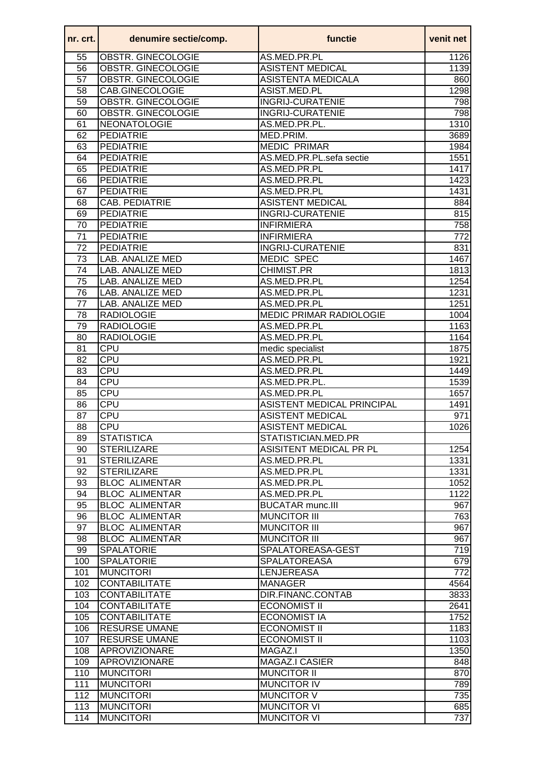| nr. crt. l | denumire sectie/comp.     | functie                        | venit net        |
|------------|---------------------------|--------------------------------|------------------|
| 55         | OBSTR. GINECOLOGIE        | AS.MED.PR.PL                   | 1126             |
| 56         | OBSTR. GINECOLOGIE        | <b>ASISTENT MEDICAL</b>        | 1139             |
| 57         | <b>OBSTR. GINECOLOGIE</b> | <b>ASISTENTA MEDICALA</b>      | 860              |
| 58         | CAB.GINECOLOGIE           | ASIST.MED.PL                   | 1298             |
| 59         | <b>OBSTR. GINECOLOGIE</b> | <b>INGRIJ-CURATENIE</b>        | 798              |
| 60         | OBSTR. GINECOLOGIE        | <b>INGRIJ-CURATENIE</b>        | 798              |
| 61         | NEONATOLOGIE              | AS.MED.PR.PL.                  | 1310             |
| 62         | <b>PEDIATRIE</b>          | MED.PRIM.                      | 3689             |
| 63         | <b>PEDIATRIE</b>          | <b>MEDIC PRIMAR</b>            | 1984             |
| 64         | <b>PEDIATRIE</b>          | AS.MED.PR.PL.sefa sectie       | 1551             |
| 65         | <b>PEDIATRIE</b>          | AS.MED.PR.PL                   | 1417             |
| 66         | <b>PEDIATRIE</b>          | AS.MED.PR.PL                   | 1423             |
| 67         | <b>PEDIATRIE</b>          | AS.MED.PR.PL                   | 1431             |
| 68         | CAB. PEDIATRIE            | <b>ASISTENT MEDICAL</b>        | 884              |
| 69         | <b>PEDIATRIE</b>          | <b>INGRIJ-CURATENIE</b>        | 815              |
| 70         | <b>PEDIATRIE</b>          | <b>INFIRMIERA</b>              | 758              |
| 71         | <b>PEDIATRIE</b>          | <b>INFIRMIERA</b>              | 772              |
| 72         | <b>PEDIATRIE</b>          | <b>INGRIJ-CURATENIE</b>        | 831              |
| 73         | LAB. ANALIZE MED          | <b>MEDIC SPEC</b>              | 1467             |
| 74         | LAB. ANALIZE MED          | CHIMIST.PR                     | 1813             |
| 75         | <b>LAB. ANALIZE MED</b>   | AS.MED.PR.PL                   | 1254             |
| 76         | <b>LAB. ANALIZE MED</b>   | AS.MED.PR.PL                   | 1231             |
| 77         | <b>LAB. ANALIZE MED</b>   | AS.MED.PR.PL                   | 1251             |
| 78         | <b>RADIOLOGIE</b>         | <b>MEDIC PRIMAR RADIOLOGIE</b> | 1004             |
| 79         | <b>RADIOLOGIE</b>         | AS.MED.PR.PL                   | 1163             |
| 80         | <b>RADIOLOGIE</b>         | AS.MED.PR.PL                   | 1164             |
| 81         | CPU                       | medic specialist               | 1875             |
| 82         | CPU                       | AS.MED.PR.PL                   | 1921             |
| 83         | <b>CPU</b>                | AS.MED.PR.PL                   | 1449             |
| 84         | CPU                       | AS.MED.PR.PL.                  | 1539             |
| 85         | CPU                       | AS.MED.PR.PL                   | 1657             |
| 86         | <b>CPU</b>                | ASISTENT MEDICAL PRINCIPAL     | 1491             |
| 87         | <b>CPU</b>                | <b>ASISTENT MEDICAL</b>        | 971              |
| 88         | <b>CPU</b>                | <b>ASISTENT MEDICAL</b>        | 1026             |
| 89         | <b>STATISTICA</b>         | STATISTICIAN.MED.PR            |                  |
| 90         | <b>STERILIZARE</b>        | ASISITENT MEDICAL PR PL        | 1254             |
| 91         | <b>STERILIZARE</b>        | AS.MED.PR.PL                   | 1331             |
| 92         | <b>STERILIZARE</b>        | AS.MED.PR.PL                   | 1331             |
| 93         | <b>BLOC ALIMENTAR</b>     | AS.MED.PR.PL                   | 1052             |
| 94         | <b>BLOC ALIMENTAR</b>     | AS.MED.PR.PL                   | 1122             |
| 95         | <b>BLOC ALIMENTAR</b>     | <b>BUCATAR munc.III</b>        | 967              |
| 96         | <b>BLOC ALIMENTAR</b>     | <b>MUNCITOR III</b>            | 763              |
| 97         | <b>BLOC ALIMENTAR</b>     | <b>MUNCITOR III</b>            | 967              |
| 98         | <b>BLOC ALIMENTAR</b>     | <b>MUNCITOR III</b>            | 967              |
| 99         | <b>SPALATORIE</b>         | SPALATOREASA-GEST              | 719              |
| 100        | <b>SPALATORIE</b>         | <b>SPALATOREASA</b>            | 679              |
| 101        | <b>MUNCITORI</b>          | <b>LENJEREASA</b>              | $\overline{772}$ |
| 102        | <b>CONTABILITATE</b>      | <b>MANAGER</b>                 | 4564             |
| 103        | <b>CONTABILITATE</b>      | DIR.FINANC.CONTAB              | 3833             |
| 104        | <b>CONTABILITATE</b>      | <b>ECONOMIST II</b>            | 2641             |
| 105        | <b>CONTABILITATE</b>      | <b>ECONOMIST IA</b>            | 1752             |
| 106        | <b>RESURSE UMANE</b>      | <b>ECONOMIST II</b>            | 1183             |
| 107        | <b>RESURSE UMANE</b>      | <b>ECONOMIST II</b>            | 1103             |
| 108        | APROVIZIONARE             | MAGAZ.I                        | 1350             |
| 109        | APROVIZIONARE             | MAGAZ.I CASIER                 | 848              |
| 110        | <b>MUNCITORI</b>          | <b>MUNCITOR II</b>             | 870              |
| 111        | <b>MUNCITORI</b>          | <b>MUNCITOR IV</b>             | 789              |
| 112        | <b>MUNCITORI</b>          | <b>MUNCITOR V</b>              | 735              |
| 113        | <b>MUNCITORI</b>          | <b>MUNCITOR VI</b>             | 685              |
| 114        | <b>MUNCITORI</b>          | <b>MUNCITOR VI</b>             | 737              |